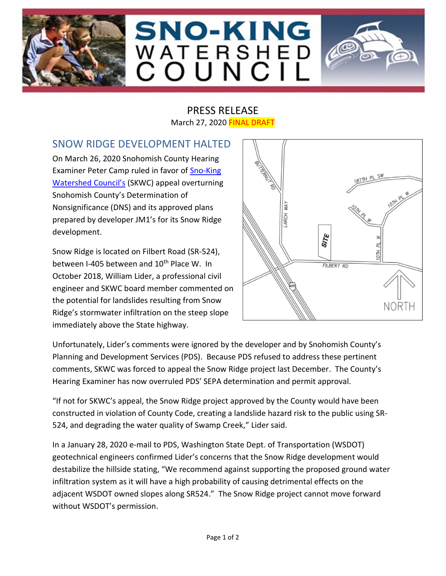





## SNOW RIDGE DEVELOPMENT HALTED

On March 26, 2020 Snohomish County Hearing Examiner Peter Camp ruled in favor of Sno-King [Watershed Council's](http://snokingwatershedcouncil.org/) (SKWC) appeal overturning Snohomish County's Determination of Nonsignificance (DNS) and its approved plans prepared by developer JM1's for its Snow Ridge development.

Snow Ridge is located on Filbert Road (SR-524), between I-405 between and 10<sup>th</sup> Place W. In October 2018, William Lider, a professional civil engineer and SKWC board member commented on the potential for landslides resulting from Snow Ridge's stormwater infiltration on the steep slope immediately above the State highway.



Unfortunately, Lider's comments were ignored by the developer and by Snohomish County's Planning and Development Services (PDS). Because PDS refused to address these pertinent comments, SKWC was forced to appeal the Snow Ridge project last December. The County's Hearing Examiner has now overruled PDS' SEPA determination and permit approval.

"If not for SKWC's appeal, the Snow Ridge project approved by the County would have been constructed in violation of County Code, creating a landslide hazard risk to the public using SR-524, and degrading the water quality of Swamp Creek," Lider said.

In a January 28, 2020 e-mail to PDS, Washington State Dept. of Transportation (WSDOT) geotechnical engineers confirmed Lider's concerns that the Snow Ridge development would destabilize the hillside stating, "We recommend against supporting the proposed ground water infiltration system as it will have a high probability of causing detrimental effects on the adjacent WSDOT owned slopes along SR524." The Snow Ridge project cannot move forward without WSDOT's permission.